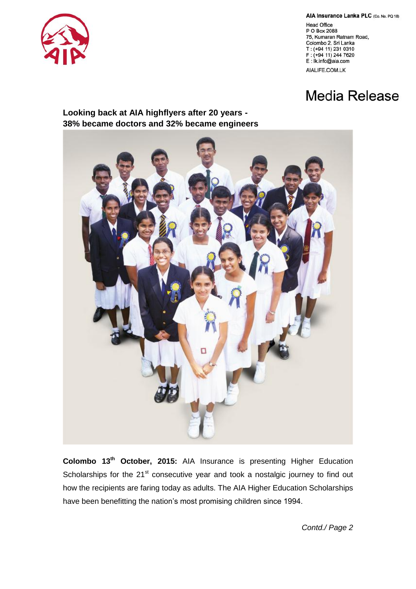

AIA Insurance Lanka PLC (Co. No. PQ 18)

**Head Office** P O Box 2088 75, Kumaran Ratnam Road, Colombo 2, Sri Lanka T: (+94 11) 231 0310 F: (+94 11) 244 7620 E: Ik.info@aia.com AIALIFE.COM.LK

## **Media Release**

**Looking back at AIA highflyers after 20 years - 38% became doctors and 32% became engineers**



**Colombo 13th October, 2015:** AIA Insurance is presenting Higher Education Scholarships for the 21<sup>st</sup> consecutive year and took a nostalgic journey to find out how the recipients are faring today as adults. The AIA Higher Education Scholarships have been benefitting the nation's most promising children since 1994.

*Contd./ Page 2*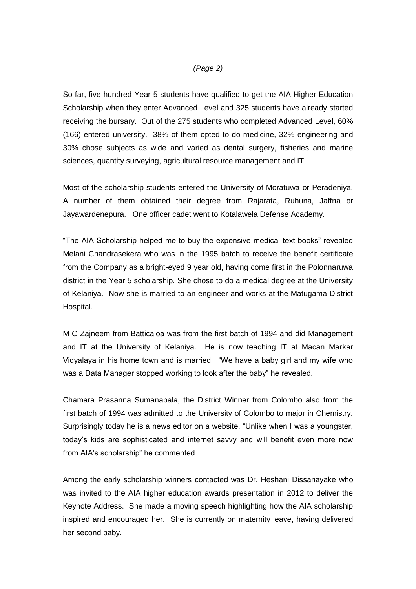## *(Page 2)*

So far, five hundred Year 5 students have qualified to get the AIA Higher Education Scholarship when they enter Advanced Level and 325 students have already started receiving the bursary. Out of the 275 students who completed Advanced Level, 60% (166) entered university. 38% of them opted to do medicine, 32% engineering and 30% chose subjects as wide and varied as dental surgery, fisheries and marine sciences, quantity surveying, agricultural resource management and IT.

Most of the scholarship students entered the University of Moratuwa or Peradeniya. A number of them obtained their degree from Rajarata, Ruhuna, Jaffna or Jayawardenepura. One officer cadet went to Kotalawela Defense Academy.

"The AIA Scholarship helped me to buy the expensive medical text books" revealed Melani Chandrasekera who was in the 1995 batch to receive the benefit certificate from the Company as a bright-eyed 9 year old, having come first in the Polonnaruwa district in the Year 5 scholarship. She chose to do a medical degree at the University of Kelaniya. Now she is married to an engineer and works at the Matugama District Hospital.

M C Zajneem from Batticaloa was from the first batch of 1994 and did Management and IT at the University of Kelaniya. He is now teaching IT at Macan Markar Vidyalaya in his home town and is married. "We have a baby girl and my wife who was a Data Manager stopped working to look after the baby" he revealed.

Chamara Prasanna Sumanapala, the District Winner from Colombo also from the first batch of 1994 was admitted to the University of Colombo to major in Chemistry. Surprisingly today he is a news editor on a website. "Unlike when I was a youngster, today's kids are sophisticated and internet savvy and will benefit even more now from AIA's scholarship" he commented.

Among the early scholarship winners contacted was Dr. Heshani Dissanayake who was invited to the AIA higher education awards presentation in 2012 to deliver the Keynote Address. She made a moving speech highlighting how the AIA scholarship inspired and encouraged her. She is currently on maternity leave, having delivered her second baby.